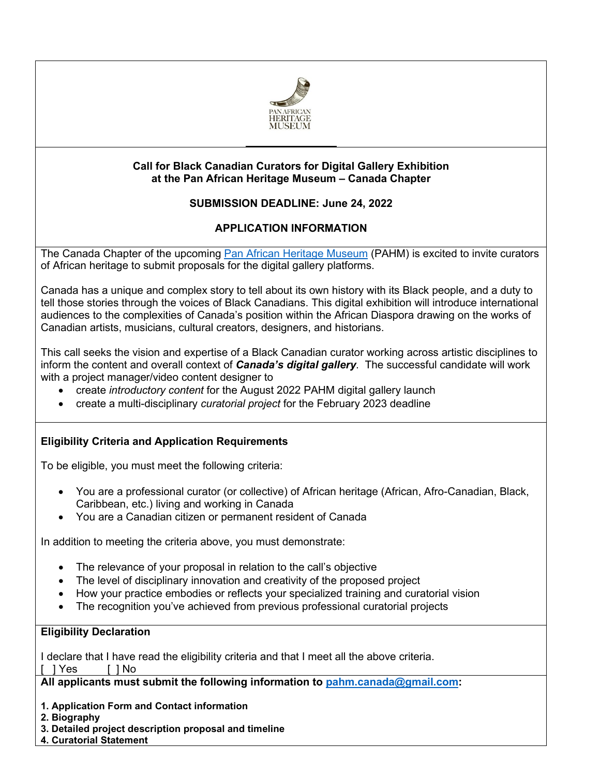

## **Call for Black Canadian Curators for Digital Gallery Exhibition at the Pan African Heritage Museum – Canada Chapter**

# **SUBMISSION DEADLINE: June 24, 2022**

# **APPLICATION INFORMATION**

The Canada Chapter of the upcoming [Pan African Heritage Museum](https://pahmuseum.org/) (PAHM) is excited to invite curators of African heritage to submit proposals for the digital gallery platforms.

Canada has a unique and complex story to tell about its own history with its Black people, and a duty to tell those stories through the voices of Black Canadians. This digital exhibition will introduce international audiences to the complexities of Canada's position within the African Diaspora drawing on the works of Canadian artists, musicians, cultural creators, designers, and historians.

This call seeks the vision and expertise of a Black Canadian curator working across artistic disciplines to inform the content and overall context of *Canada's digital gallery*. The successful candidate will work with a project manager/video content designer to

- create *introductory content* for the August 2022 PAHM digital gallery launch
- create a multi-disciplinary *curatorial project* for the February 2023 deadline

# **Eligibility Criteria and Application Requirements**

To be eligible, you must meet the following criteria:

- You are a professional curator (or collective) of African heritage (African, Afro-Canadian, Black, Caribbean, etc.) living and working in Canada
- You are a Canadian citizen or permanent resident of Canada

In addition to meeting the criteria above, you must demonstrate:

- The relevance of your proposal in relation to the call's objective
- The level of disciplinary innovation and creativity of the proposed project
- How your practice embodies or reflects your specialized training and curatorial vision
- The recognition you've achieved from previous professional curatorial projects

### **Eligibility Declaration**

I declare that I have read the eligibility criteria and that I meet all the above criteria.

[ ] Yes [ ] No

**All applicants must submit the following information to [pahm.canada@gmail.com:](mailto:pahm.canada@gmail.com)**

- **1. Application Form and Contact information**
- **2. Biography**
- **3. Detailed project description proposal and timeline**
- **4. Curatorial Statement**